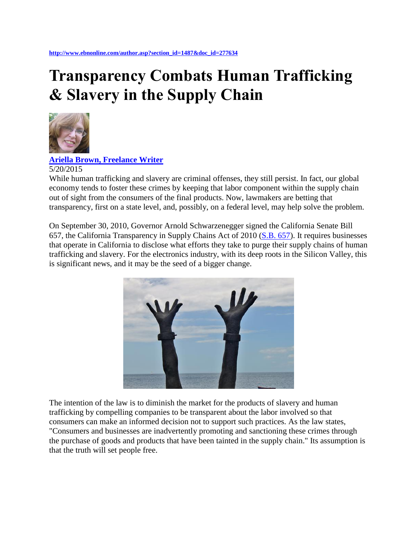## **Transparency Combats Human Trafficking & Slavery in the Supply Chain**



**[Ariella Brown, Freelance Writer](http://www.ebnonline.com/bloggers.asp#Ariella_Brown)**

5/20/2015

While human trafficking and slavery are criminal offenses, they still persist. In fact, our global economy tends to foster these crimes by keeping that labor component within the supply chain out of sight from the consumers of the final products. Now, lawmakers are betting that transparency, first on a state level, and, possibly, on a federal level, may help solve the problem.

On September 30, 2010, Governor Arnold Schwarzenegger signed the California Senate Bill 657, the California Transparency in Supply Chains Act of 2010 [\(S.B. 657\)](http://www.state.gov/documents/organization/164934.pdf). It requires businesses that operate in California to disclose what efforts they take to purge their supply chains of human trafficking and slavery. For the electronics industry, with its deep roots in the Silicon Valley, this is significant news, and it may be the seed of a bigger change.



The intention of the law is to diminish the market for the products of slavery and human trafficking by compelling companies to be transparent about the labor involved so that consumers can make an informed decision not to support such practices. As the law states, "Consumers and businesses are inadvertently promoting and sanctioning these crimes through the purchase of goods and products that have been tainted in the supply chain." Its assumption is that the truth will set people free.